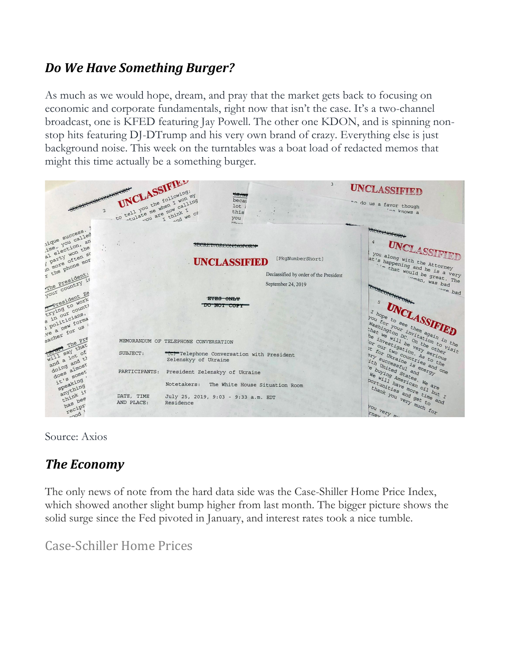#### *Do We Have Something Burger?*

As much as we would hope, dream, and pray that the market gets back to focusing on economic and corporate fundamentals, right now that isn't the case. It's a two-channel broadcast, one is KFED featuring Jay Powell. The other one KDON, and is spinning nonstop hits featuring DJ-DTrump and his very own brand of crazy. Everything else is just background noise. This week on the turntables was a boat load of redacted memos that might this time actually be a something burger.



Source: Axios

# *The Economy*

The only news of note from the hard data side was the Case-Shiller Home Price Index, which showed another slight bump higher from last month. The bigger picture shows the solid surge since the Fed pivoted in January, and interest rates took a nice tumble.

Case-Schiller Home Prices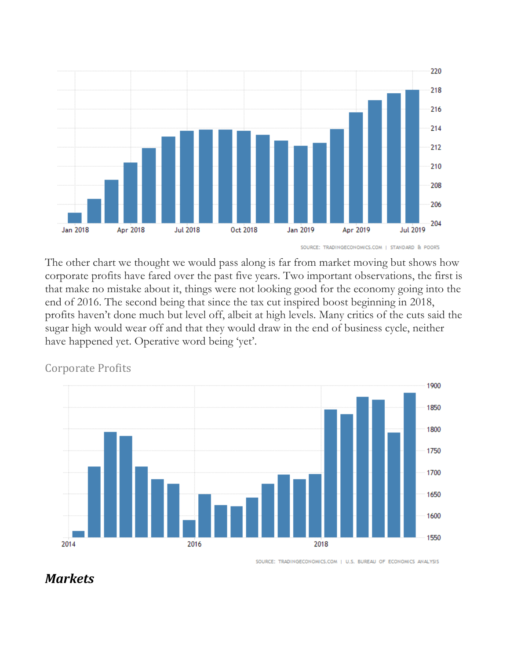

SOURCE: TRADINGECONOMICS.COM | STANDARD & POOR'S

The other chart we thought we would pass along is far from market moving but shows how corporate profits have fared over the past five years. Two important observations, the first is that make no mistake about it, things were not looking good for the economy going into the end of 2016. The second being that since the tax cut inspired boost beginning in 2018, profits haven't done much but level off, albeit at high levels. Many critics of the cuts said the sugar high would wear off and that they would draw in the end of business cycle, neither have happened yet. Operative word being 'yet'.





SOURCE: TRADINGECONOMICS.COM | U.S. BUREAU OF ECONOMICS ANALYSIS

#### *Markets*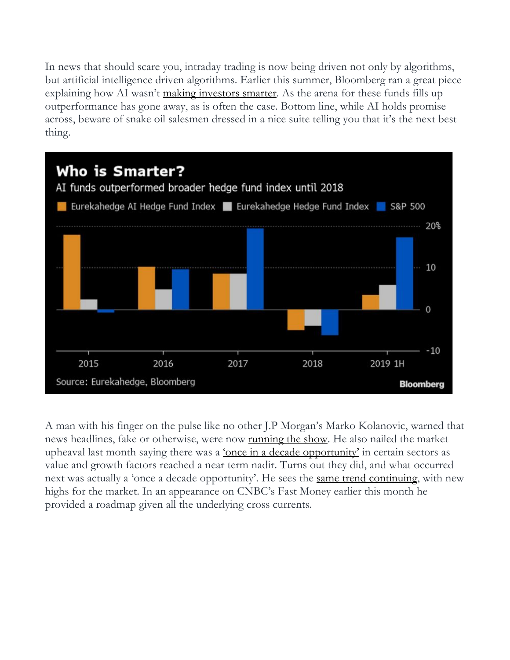In news that should scare you, intraday trading is now being driven not only by algorithms, but artificial intelligence driven algorithms. Earlier this summer, Bloomberg ran a great piece explaining how AI wasn't making investors smarter. As the arena for these funds fills up outperformance has gone away, as is often the case. Bottom line, while AI holds promise across, beware of snake oil salesmen dressed in a nice suite telling you that it's the next best thing.



A man with his finger on the pulse like no other J.P Morgan's Marko Kolanovic, warned that news headlines, fake or otherwise, were now <u>running the show</u>. He also nailed the market upheaval last month saying there was a <u>'once in a decade opportunity'</u> in certain sectors as value and growth factors reached a near term nadir. Turns out they did, and what occurred next was actually a 'once a decade opportunity'. He sees the same trend continuing, with new highs for the market. In an appearance on CNBC's Fast Money earlier this month he provided a roadmap given all the underlying cross currents.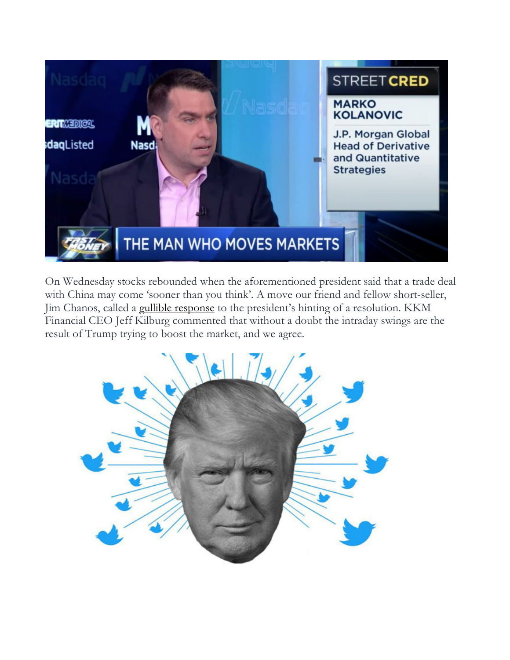

On Wednesday stocks rebounded when the aforementioned president said that a trade deal with China may come 'sooner than you think'. A move our friend and fellow short-seller, Jim Chanos, called a gullible response to the president's hinting of a resolution. KKM Financial CEO Jeff Kilburg commented that without a doubt the intraday swings are the result of Trump trying to boost the market, and we agree.

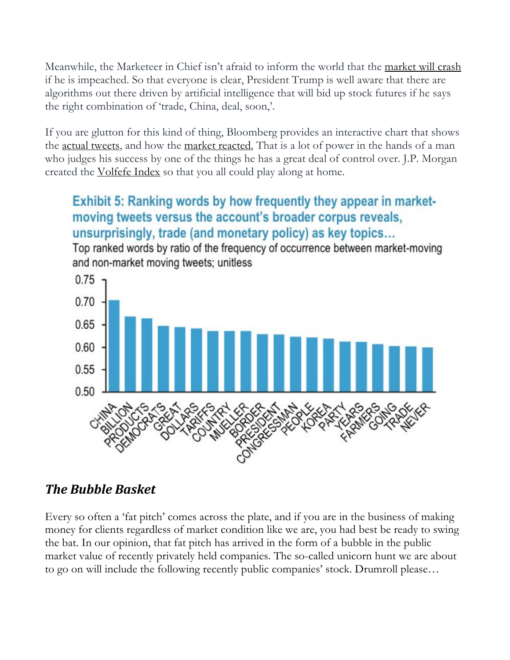Meanwhile, the Marketeer in Chief isn't afraid to inform the world that the market will crash if he is impeached. So that everyone is clear, President Trump is well aware that there are algorithms out there driven by artificial intelligence that will bid up stock futures if he says the right combination of 'trade, China, deal, soon,'.

If you are glutton for this kind of thing, Bloomberg provides an interactive chart that shows the <u>actual tweets</u>, and how the market reacted. That is a lot of power in the hands of a man who judges his success by one of the things he has a great deal of control over. J.P. Morgan created the Volfefe Index so that you all could play along at home.

## Exhibit 5: Ranking words by how frequently they appear in marketmoving tweets versus the account's broader corpus reveals, unsurprisingly, trade (and monetary policy) as key topics...

Top ranked words by ratio of the frequency of occurrence between market-moving and non-market moving tweets; unitless



## *The Bubble Basket*

Every so often a 'fat pitch' comes across the plate, and if you are in the business of making money for clients regardless of market condition like we are, you had best be ready to swing the bat. In our opinion, that fat pitch has arrived in the form of a bubble in the public market value of recently privately held companies. The so-called unicorn hunt we are about to go on will include the following recently public companies' stock. Drumroll please…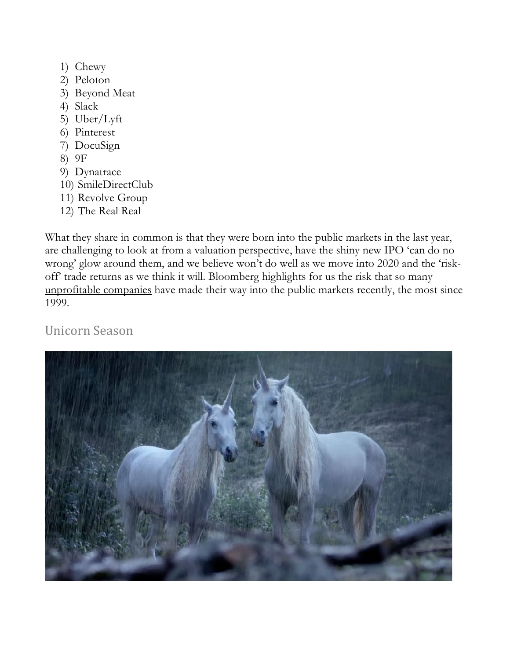- 1) Chewy
- 2) Peloton
- 3) Beyond Meat
- 4) Slack
- 5) Uber/Lyft
- 6) Pinterest
- 7) DocuSign
- 8) 9F
- 9) Dynatrace
- 10) SmileDirectClub
- 11) Revolve Group
- 12) The Real Real

What they share in common is that they were born into the public markets in the last year, are challenging to look at from a valuation perspective, have the shiny new IPO 'can do no wrong' glow around them, and we believe won't do well as we move into 2020 and the 'riskoff' trade returns as we think it will. Bloomberg highlights for us the risk that so many unprofitable companies have made their way into the public markets recently, the most since 1999.

Unicorn Season 

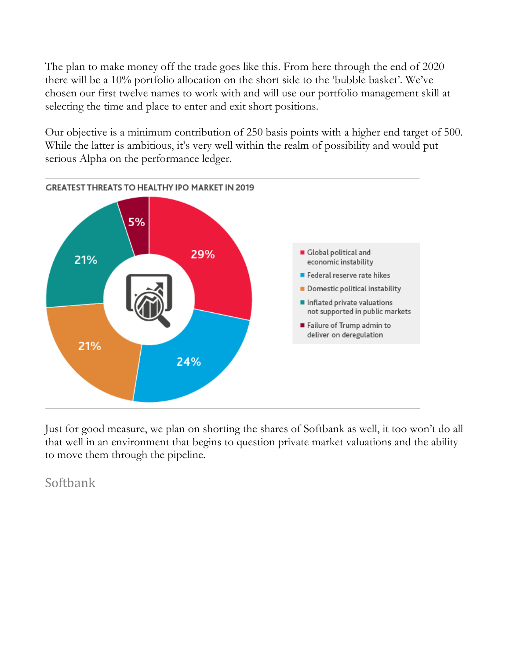The plan to make money off the trade goes like this. From here through the end of 2020 there will be a 10% portfolio allocation on the short side to the 'bubble basket'. We've chosen our first twelve names to work with and will use our portfolio management skill at selecting the time and place to enter and exit short positions.

Our objective is a minimum contribution of 250 basis points with a higher end target of 500. While the latter is ambitious, it's very well within the realm of possibility and would put serious Alpha on the performance ledger.



Just for good measure, we plan on shorting the shares of Softbank as well, it too won't do all that well in an environment that begins to question private market valuations and the ability to move them through the pipeline.

Softbank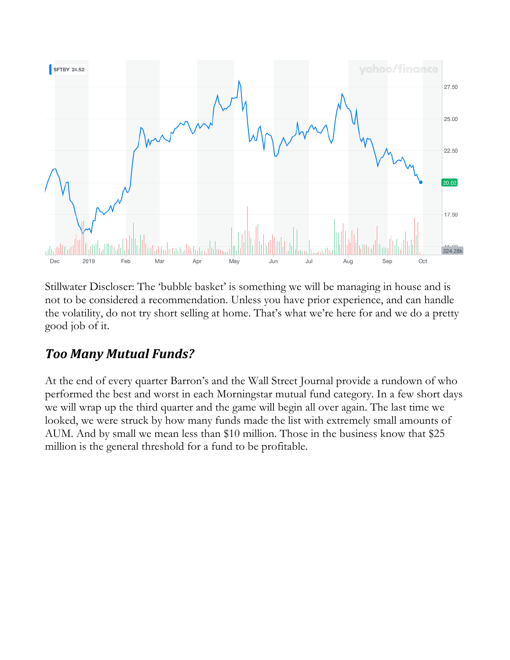

Stillwater Discloser: The 'bubble basket' is something we will be managing in house and is not to be considered a recommendation. Unless you have prior experience, and can handle the volatility, do not try short selling at home. That's what we're here for and we do a pretty good job of it.

## *Too Many Mutual Funds?*

At the end of every quarter Barron's and the Wall Street Journal provide a rundown of who performed the best and worst in each Morningstar mutual fund category. In a few short days we will wrap up the third quarter and the game will begin all over again. The last time we looked, we were struck by how many funds made the list with extremely small amounts of AUM. And by small we mean less than \$10 million. Those in the business know that \$25 million is the general threshold for a fund to be profitable.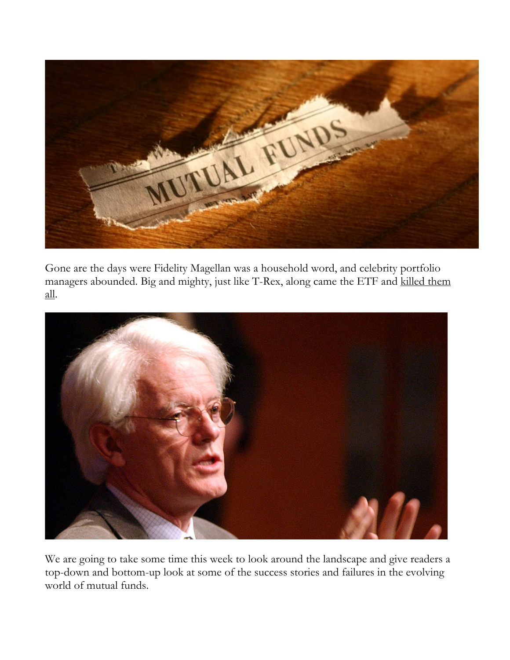

Gone are the days were Fidelity Magellan was a household word, and celebrity portfolio managers abounded. Big and mighty, just like T-Rex, along came the ETF and killed them all.



We are going to take some time this week to look around the landscape and give readers a top-down and bottom-up look at some of the success stories and failures in the evolving world of mutual funds.